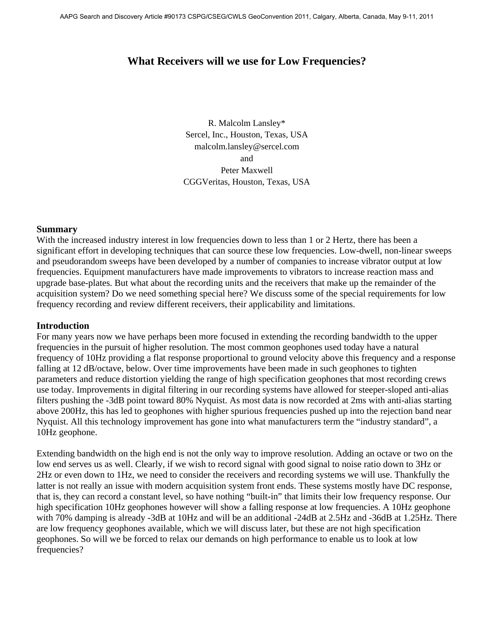# **What Receivers will we use for Low Frequencies?**

R. Malcolm Lansley\* Sercel, Inc., Houston, Texas, USA malcolm.lansley@sercel.com and Peter Maxwell CGGVeritas, Houston, Texas, USA

#### **Summary**

With the increased industry interest in low frequencies down to less than 1 or 2 Hertz, there has been a significant effort in developing techniques that can source these low frequencies. Low-dwell, non-linear sweeps and pseudorandom sweeps have been developed by a number of companies to increase vibrator output at low frequencies. Equipment manufacturers have made improvements to vibrators to increase reaction mass and upgrade base-plates. But what about the recording units and the receivers that make up the remainder of the acquisition system? Do we need something special here? We discuss some of the special requirements for low frequency recording and review different receivers, their applicability and limitations.

## **Introduction**

For many years now we have perhaps been more focused in extending the recording bandwidth to the upper frequencies in the pursuit of higher resolution. The most common geophones used today have a natural frequency of 10Hz providing a flat response proportional to ground velocity above this frequency and a response falling at 12 dB/octave, below. Over time improvements have been made in such geophones to tighten parameters and reduce distortion yielding the range of high specification geophones that most recording crews use today. Improvements in digital filtering in our recording systems have allowed for steeper-sloped anti-alias filters pushing the -3dB point toward 80% Nyquist. As most data is now recorded at 2ms with anti-alias starting above 200Hz, this has led to geophones with higher spurious frequencies pushed up into the rejection band near Nyquist. All this technology improvement has gone into what manufacturers term the "industry standard", a 10Hz geophone.

Extending bandwidth on the high end is not the only way to improve resolution. Adding an octave or two on the low end serves us as well. Clearly, if we wish to record signal with good signal to noise ratio down to 3Hz or 2Hz or even down to 1Hz, we need to consider the receivers and recording systems we will use. Thankfully the latter is not really an issue with modern acquisition system front ends. These systems mostly have DC response, that is, they can record a constant level, so have nothing "built-in" that limits their low frequency response. Our high specification 10Hz geophones however will show a falling response at low frequencies. A 10Hz geophone with 70% damping is already -3dB at 10Hz and will be an additional -24dB at 2.5Hz and -36dB at 1.25Hz. There are low frequency geophones available, which we will discuss later, but these are not high specification geophones. So will we be forced to relax our demands on high performance to enable us to look at low frequencies?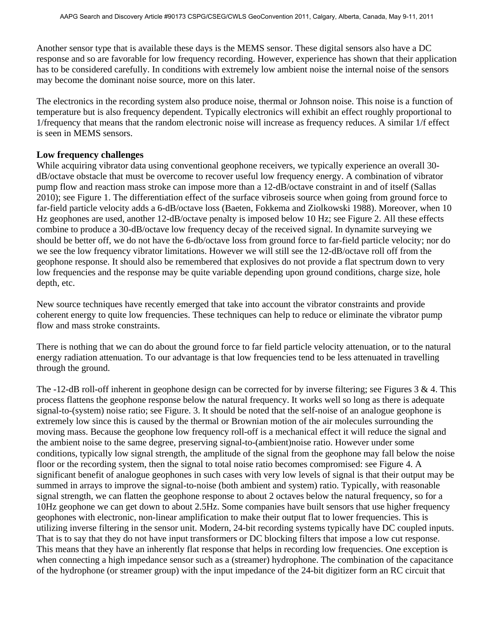Another sensor type that is available these days is the MEMS sensor. These digital sensors also have a DC response and so are favorable for low frequency recording. However, experience has shown that their application has to be considered carefully. In conditions with extremely low ambient noise the internal noise of the sensors may become the dominant noise source, more on this later.

The electronics in the recording system also produce noise, thermal or Johnson noise. This noise is a function of temperature but is also frequency dependent. Typically electronics will exhibit an effect roughly proportional to 1/frequency that means that the random electronic noise will increase as frequency reduces. A similar 1/f effect is seen in MEMS sensors.

# **Low frequency challenges**

While acquiring vibrator data using conventional geophone receivers, we typically experience an overall 30dB/octave obstacle that must be overcome to recover useful low frequency energy. A combination of vibrator pump flow and reaction mass stroke can impose more than a 12-dB/octave constraint in and of itself (Sallas 2010); see Figure 1. The differentiation effect of the surface vibroseis source when going from ground force to far-field particle velocity adds a 6-dB/octave loss (Baeten, Fokkema and Ziolkowski 1988). Moreover, when 10 Hz geophones are used, another 12-dB/octave penalty is imposed below 10 Hz; see Figure 2. All these effects combine to produce a 30-dB/octave low frequency decay of the received signal. In dynamite surveying we should be better off, we do not have the 6-db/octave loss from ground force to far-field particle velocity; nor do we see the low frequency vibrator limitations. However we will still see the 12-dB/octave roll off from the geophone response. It should also be remembered that explosives do not provide a flat spectrum down to very low frequencies and the response may be quite variable depending upon ground conditions, charge size, hole depth, etc.

New source techniques have recently emerged that take into account the vibrator constraints and provide coherent energy to quite low frequencies. These techniques can help to reduce or eliminate the vibrator pump flow and mass stroke constraints.

There is nothing that we can do about the ground force to far field particle velocity attenuation, or to the natural energy radiation attenuation. To our advantage is that low frequencies tend to be less attenuated in travelling through the ground.

The -12-dB roll-off inherent in geophone design can be corrected for by inverse filtering; see Figures  $3 \& 4$ . This process flattens the geophone response below the natural frequency. It works well so long as there is adequate signal-to-(system) noise ratio; see Figure. 3. It should be noted that the self-noise of an analogue geophone is extremely low since this is caused by the thermal or Brownian motion of the air molecules surrounding the moving mass. Because the geophone low frequency roll-off is a mechanical effect it will reduce the signal and the ambient noise to the same degree, preserving signal-to-(ambient)noise ratio. However under some conditions, typically low signal strength, the amplitude of the signal from the geophone may fall below the noise floor or the recording system, then the signal to total noise ratio becomes compromised: see Figure 4. A significant benefit of analogue geophones in such cases with very low levels of signal is that their output may be summed in arrays to improve the signal-to-noise (both ambient and system) ratio. Typically, with reasonable signal strength, we can flatten the geophone response to about 2 octaves below the natural frequency, so for a 10Hz geophone we can get down to about 2.5Hz. Some companies have built sensors that use higher frequency geophones with electronic, non-linear amplification to make their output flat to lower frequencies. This is utilizing inverse filtering in the sensor unit. Modern, 24-bit recording systems typically have DC coupled inputs. That is to say that they do not have input transformers or DC blocking filters that impose a low cut response. This means that they have an inherently flat response that helps in recording low frequencies. One exception is when connecting a high impedance sensor such as a (streamer) hydrophone. The combination of the capacitance of the hydrophone (or streamer group) with the input impedance of the 24-bit digitizer form an RC circuit that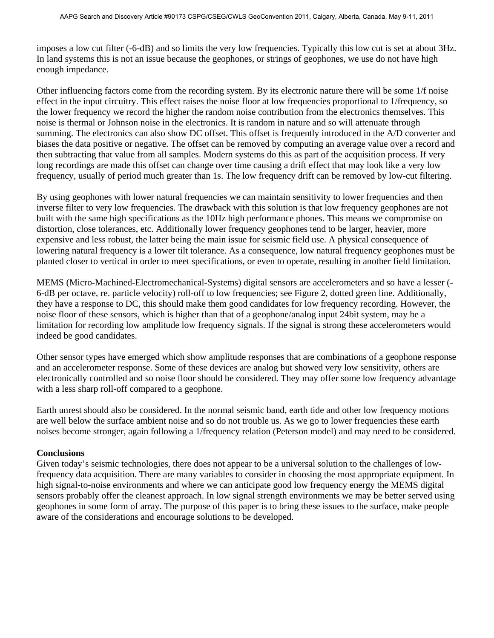imposes a low cut filter (-6-dB) and so limits the very low frequencies. Typically this low cut is set at about 3Hz. In land systems this is not an issue because the geophones, or strings of geophones, we use do not have high enough impedance.

Other influencing factors come from the recording system. By its electronic nature there will be some 1/f noise effect in the input circuitry. This effect raises the noise floor at low frequencies proportional to 1/frequency, so the lower frequency we record the higher the random noise contribution from the electronics themselves. This noise is thermal or Johnson noise in the electronics. It is random in nature and so will attenuate through summing. The electronics can also show DC offset. This offset is frequently introduced in the A/D converter and biases the data positive or negative. The offset can be removed by computing an average value over a record and then subtracting that value from all samples. Modern systems do this as part of the acquisition process. If very long recordings are made this offset can change over time causing a drift effect that may look like a very low frequency, usually of period much greater than 1s. The low frequency drift can be removed by low-cut filtering.

By using geophones with lower natural frequencies we can maintain sensitivity to lower frequencies and then inverse filter to very low frequencies. The drawback with this solution is that low frequency geophones are not built with the same high specifications as the 10Hz high performance phones. This means we compromise on distortion, close tolerances, etc. Additionally lower frequency geophones tend to be larger, heavier, more expensive and less robust, the latter being the main issue for seismic field use. A physical consequence of lowering natural frequency is a lower tilt tolerance. As a consequence, low natural frequency geophones must be planted closer to vertical in order to meet specifications, or even to operate, resulting in another field limitation.

MEMS (Micro-Machined-Electromechanical-Systems) digital sensors are accelerometers and so have a lesser (- 6-dB per octave, re. particle velocity) roll-off to low frequencies; see Figure 2, dotted green line. Additionally, they have a response to DC, this should make them good candidates for low frequency recording. However, the noise floor of these sensors, which is higher than that of a geophone/analog input 24bit system, may be a limitation for recording low amplitude low frequency signals. If the signal is strong these accelerometers would indeed be good candidates.

Other sensor types have emerged which show amplitude responses that are combinations of a geophone response and an accelerometer response. Some of these devices are analog but showed very low sensitivity, others are electronically controlled and so noise floor should be considered. They may offer some low frequency advantage with a less sharp roll-off compared to a geophone.

Earth unrest should also be considered. In the normal seismic band, earth tide and other low frequency motions are well below the surface ambient noise and so do not trouble us. As we go to lower frequencies these earth noises become stronger, again following a 1/frequency relation (Peterson model) and may need to be considered.

## **Conclusions**

Given today's seismic technologies, there does not appear to be a universal solution to the challenges of lowfrequency data acquisition. There are many variables to consider in choosing the most appropriate equipment. In high signal-to-noise environments and where we can anticipate good low frequency energy the MEMS digital sensors probably offer the cleanest approach. In low signal strength environments we may be better served using geophones in some form of array. The purpose of this paper is to bring these issues to the surface, make people aware of the considerations and encourage solutions to be developed.